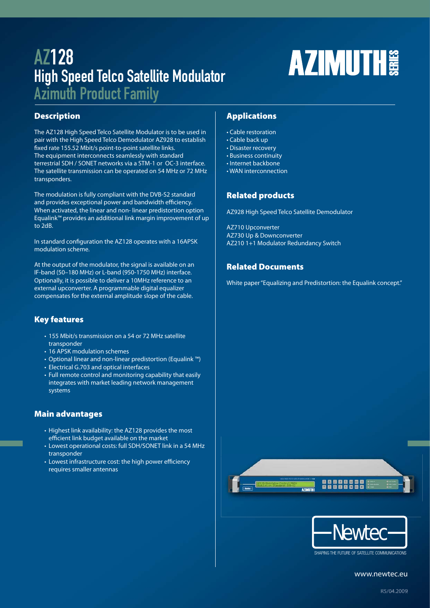# AZ128 High Speed Telco Satellite Modulator

Azimuth Product Family

## **Description**

The AZ128 High Speed Telco Satellite Modulator is to be used in pair with the High Speed Telco Demodulator AZ928 to establish fixed rate 155.52 Mbit/s point-to-point satellite links. The equipment interconnects seamlessly with standard terrestrial SDH / SONET networks via a STM-1 or OC-3 interface. The satellite transmission can be operated on 54 MHz or 72 MHz transponders.

The modulation is fully compliant with the DVB-S2 standard and provides exceptional power and bandwidth efficiency. When activated, the linear and non- linear predistortion option Equalink™ provides an additional link margin improvement of up to 2dB.

In standard configuration the AZ128 operates with a 16APSK modulation scheme.

At the output of the modulator, the signal is available on an IF-band (50–180 MHz) or L-band (950-1750 MHz) interface. Optionally, it is possible to deliver a 10MHz reference to an external upconverter. A programmable digital equalizer compensates for the external amplitude slope of the cable.

## **Key features**

- 155 Mbit/s transmission on a 54 or 72 MHz satellite transponder
- 16 APSK modulation schemes
- Optional linear and non-linear predistortion (Equalink ™)
- Electrical G.703 and optical interfaces
- Full remote control and monitoring capability that easily integrates with market leading network management systems

## **Main advantages**

- Highest link availability: the AZ128 provides the most efficient link budget available on the market
- Lowest operational costs: full SDH/SONET link in a 54 MHz transponder
- Lowest infrastructure cost: the high power efficiency requires smaller antennas

## **Applications**

- Cable restoration
- Cable back up
- Disaster recovery
- Business continuity
- Internet backbone • WAN interconnection
- 

## **Related products**

AZ928 High Speed Telco Satellite Demodulator

AZ710 Upconverter AZ730 Up & Downconverter AZ210 1+1 Modulator Redundancy Switch

## **Related Documents**

White paper "Equalizing and Predistortion: the Equalink concept."

**AZIMUTH** 





SHAPING THE FUTURE OF SATELLITE COMMUNICATIONS

www.newtec.eu